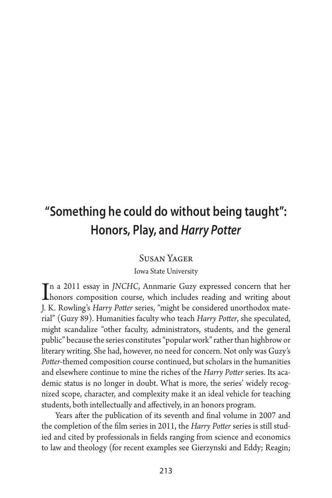# **"Something he could do without being taught": Honors, Play, and** *Harry Potter*

### Susan Yager

### Iowa State University

In a 2011 essay in *JNCHC*, Annmarie Guzy expressed concern that her<br>honors composition course, which includes reading and writing about honors composition course, which includes reading and writing about J. K. Rowling's *Harry Potter* series, "might be considered unorthodox material" (Guzy 89). Humanities faculty who teach *Harry Potter*, she speculated, might scandalize "other faculty, administrators, students, and the general public" because the series constitutes "popular work" rather than highbrow or literary writing. She had, however, no need for concern. Not only was Guzy's *Potter*-themed composition course continued, but scholars in the humanities and elsewhere continue to mine the riches of the *Harry Potter* series. Its academic status is no longer in doubt. What is more, the series' widely recognized scope, character, and complexity make it an ideal vehicle for teaching students, both intellectually and affectively, in an honors program.

Years after the publication of its seventh and final volume in 2007 and the completion of the film series in 2011, the *Harry Potter* series is still studied and cited by professionals in fields ranging from science and economics to law and theology (for recent examples see Gierzynski and Eddy; Reagin;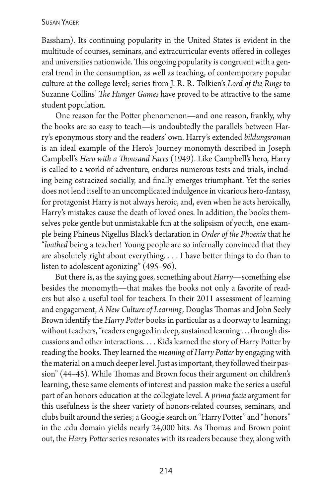### Susan Yager

Bassham). Its continuing popularity in the United States is evident in the multitude of courses, seminars, and extracurricular events offered in colleges and universities nationwide. This ongoing popularity is congruent with a general trend in the consumption, as well as teaching, of contemporary popular culture at the college level; series from J. R. R. Tolkien's *Lord of the Rings* to Suzanne Collins' *The Hunger Games* have proved to be attractive to the same student population.

One reason for the Potter phenomenon—and one reason, frankly, why the books are so easy to teach—is undoubtedly the parallels between Harry's eponymous story and the readers' own. Harry's extended *bildungsroman* is an ideal example of the Hero's Journey monomyth described in Joseph Campbell's *Hero with a Thousand Faces* (1949). Like Campbell's hero, Harry is called to a world of adventure, endures numerous tests and trials, including being ostracized socially, and finally emerges triumphant. Yet the series does not lend itself to an uncomplicated indulgence in vicarious hero-fantasy, for protagonist Harry is not always heroic, and, even when he acts heroically, Harry's mistakes cause the death of loved ones. In addition, the books themselves poke gentle but unmistakable fun at the solipsism of youth, one example being Phineus Nigellus Black's declaration in *Order of the Phoenix* that he "*loathed* being a teacher! Young people are so infernally convinced that they are absolutely right about everything.... I have better things to do than to listen to adolescent agonizing" (495–96).

But there is, as the saying goes, something about *Harry*—something else besides the monomyth—that makes the books not only a favorite of readers but also a useful tool for teachers. In their 2011 assessment of learning and engagement, *A New Culture of Learning,* Douglas Thomas and John Seely Brown identify the *Harry Potter* books in particular as a doorway to learning; without teachers, "readers engaged in deep, sustained learning ... through discussions and other interactions.... Kids learned the story of Harry Potter by reading the books. They learned the *meaning* of *Harry Potter* by engaging with the material on a much deeper level. Just as important, they followed their passion" (44–45). While Thomas and Brown focus their argument on children's learning, these same elements of interest and passion make the series a useful part of an honors education at the collegiate level. A *prima facie* argument for this usefulness is the sheer variety of honors-related courses, seminars, and clubs built around the series; a Google search on "Harry Potter" and "honors" in the .edu domain yields nearly 24,000 hits. As Thomas and Brown point out, the *Harry Potter* series resonates with its readers because they, along with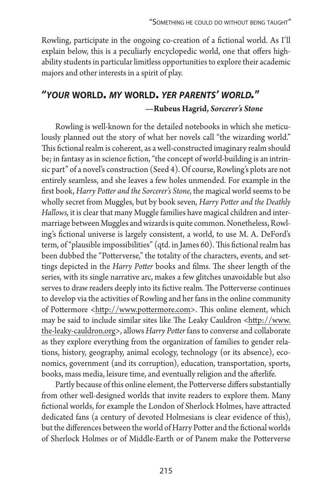Rowling, participate in the ongoing co-creation of a fictional world. As I'll explain below, this is a peculiarly encyclopedic world, one that offers highability students in particular limitless opportunities to explore their academic majors and other interests in a spirit of play.

## **"***your* **world.** *my* **world.** *yer parents' world.***" —Rubeus Hagrid,** *Sorcerer's Stone*

Rowling is well-known for the detailed notebooks in which she meticulously planned out the story of what her novels call "the wizarding world." This fictional realm is coherent, as a well-constructed imaginary realm should be; in fantasy as in science fiction, "the concept of world-building is an intrinsic part" of a novel's construction (Seed 4). Of course, Rowling's plots are not entirely seamless, and she leaves a few holes unmended. For example in the first book, *Harry Potter and the Sorcerer's Stone*, the magical world seems to be wholly secret from Muggles, but by book seven, *Harry Potter and the Deathly Hallows,* it is clear that many Muggle families have magical children and intermarriage between Muggles and wizards is quite common. Nonetheless, Rowling's fictional universe is largely consistent, a world, to use M. A. DeFord's term, of "plausible impossibilities" (qtd. in James 60). This fictional realm has been dubbed the "Potterverse," the totality of the characters, events, and settings depicted in the *Harry Potter* books and films. The sheer length of the series, with its single narrative arc, makes a few glitches unavoidable but also serves to draw readers deeply into its fictive realm. The Potterverse continues to develop via the activities of Rowling and her fans in the online community of Pottermore <http://www.pottermore.com>. This online element, which may be said to include similar sites like The Leaky Cauldron <http://www. the-leaky-cauldron.org>, allows *Harry Potter* fans to converse and collaborate as they explore everything from the organization of families to gender relations, history, geography, animal ecology, technology (or its absence), economics, government (and its corruption), education, transportation, sports, books, mass media, leisure time, and eventually religion and the afterlife.

Partly because of this online element, the Potterverse differs substantially from other well-designed worlds that invite readers to explore them. Many fictional worlds, for example the London of Sherlock Holmes, have attracted dedicated fans (a century of devoted Holmesians is clear evidence of this), but the differences between the world of Harry Potter and the fictional worlds of Sherlock Holmes or of Middle-Earth or of Panem make the Potterverse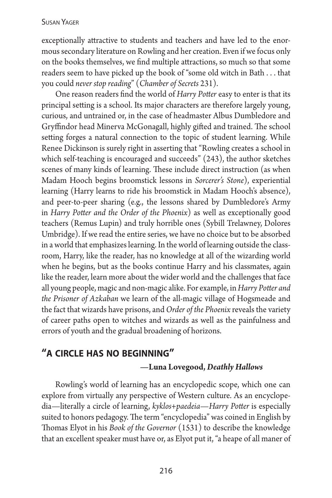### Susan Yager

exceptionally attractive to students and teachers and have led to the enormous secondary literature on Rowling and her creation. Even if we focus only on the books themselves, we find multiple attractions, so much so that some readers seem to have picked up the book of "some old witch in Bath ... that you could *never stop reading*" (*Chamber of Secrets* 231).

One reason readers find the world of *Harry Potter* easy to enter is that its principal setting is a school. Its major characters are therefore largely young, curious, and untrained or, in the case of headmaster Albus Dumbledore and Gryffindor head Minerva McGonagall, highly gifted and trained. The school setting forges a natural connection to the topic of student learning. While Renee Dickinson is surely right in asserting that "Rowling creates a school in which self-teaching is encouraged and succeeds" (243), the author sketches scenes of many kinds of learning. These include direct instruction (as when Madam Hooch begins broomstick lessons in *Sorcerer's Stone*), experiential learning (Harry learns to ride his broomstick in Madam Hooch's absence), and peer-to-peer sharing (e.g., the lessons shared by Dumbledore's Army in *Harry Potter and the Order of the Phoenix*) as well as exceptionally good teachers (Remus Lupin) and truly horrible ones (Sybill Trelawney, Dolores Umbridge). If we read the entire series, we have no choice but to be absorbed in a world that emphasizes learning. In the world of learning outside the classroom, Harry, like the reader, has no knowledge at all of the wizarding world when he begins, but as the books continue Harry and his classmates, again like the reader, learn more about the wider world and the challenges that face all young people, magic and non-magic alike. For example, in *Harry Potter and the Prisoner of Azkaban* we learn of the all-magic village of Hogsmeade and the fact that wizards have prisons, and *Order of the Phoenix* reveals the variety of career paths open to witches and wizards as well as the painfulness and errors of youth and the gradual broadening of horizons.

## **"a circle has no beginning" —Luna Lovegood,** *Deathly Hallows*

Rowling's world of learning has an encyclopedic scope, which one can explore from virtually any perspective of Western culture. As an encyclopedia—literally a circle of learning, *kyklos+paedeia*—*Harry Potter* is especially suited to honors pedagogy. The term "encyclopedia" was coined in English by Thomas Elyot in his *Book of the Governor* (1531) to describe the knowledge that an excellent speaker must have or, as Elyot put it, "a heape of all maner of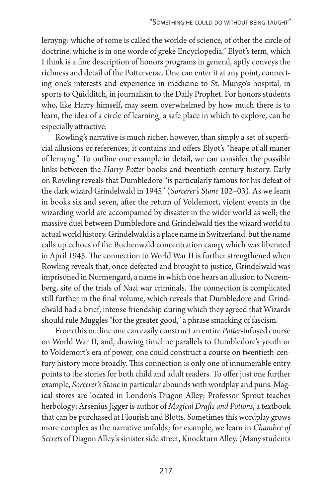lernyng: whiche of some is called the worlde of science, of other the circle of doctrine, whiche is in one worde of greke Encyclopedia." Elyot's term, which I think is a fine description of honors programs in general, aptly conveys the richness and detail of the Potterverse. One can enter it at any point, connecting one's interests and experience in medicine to St. Mungo's hospital, in sports to Quidditch, in journalism to the Daily Prophet. For honors students who, like Harry himself, may seem overwhelmed by how much there is to learn, the idea of a circle of learning, a safe place in which to explore, can be especially attractive.

Rowling's narrative is much richer, however, than simply a set of superficial allusions or references; it contains and offers Elyot's "heape of all maner of lernyng." To outline one example in detail, we can consider the possible links between the *Harry Potter* books and twentieth-century history. Early on Rowling reveals that Dumbledore "is particularly famous for his defeat of the dark wizard Grindelwald in 1945" (*Sorcerer's Stone* 102–03). As we learn in books six and seven, after the return of Voldemort, violent events in the wizarding world are accompanied by disaster in the wider world as well; the massive duel between Dumbledore and Grindelwald ties the wizard world to actual world history. Grindelwald is a place name in Switzerland, but the name calls up echoes of the Buchenwald concentration camp, which was liberated in April 1945. The connection to World War II is further strengthened when Rowling reveals that, once defeated and brought to justice, Grindelwald was imprisoned in Nurmengard, a name in which one hears an allusion to Nuremberg, site of the trials of Nazi war criminals. The connection is complicated still further in the final volume, which reveals that Dumbledore and Grindelwald had a brief, intense friendship during which they agreed that Wizards should rule Muggles "for the greater good," a phrase smacking of fascism.

From this outline one can easily construct an entire *Potter-*infused course on World War II, and, drawing timeline parallels to Dumbledore's youth or to Voldemort's era of power, one could construct a course on twentieth-century history more broadly. This connection is only one of innumerable entry points to the stories for both child and adult readers. To offer just one further example, *Sorcerer's Stone* in particular abounds with wordplay and puns. Magical stores are located in London's Diagon Alley; Professor Sprout teaches herbology; Arsenius Jigger is author of *Magical Drafts and Potions*, a textbook that can be purchased at Flourish and Blotts. Sometimes this wordplay grows more complex as the narrative unfolds; for example, we learn in *Chamber of Secrets* of Diagon Alley's sinister side street, Knockturn Alley. (Many students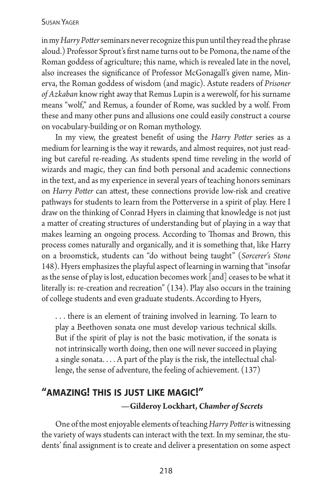### Susan Yager

in my *Harry Potter* seminars never recognize this pun until they read the phrase aloud.) Professor Sprout's first name turns out to be Pomona, the name of the Roman goddess of agriculture; this name, which is revealed late in the novel, also increases the significance of Professor McGonagall's given name, Minerva, the Roman goddess of wisdom (and magic). Astute readers of *Prisoner of Azkaban* know right away that Remus Lupin is a werewolf, for his surname means "wolf," and Remus, a founder of Rome, was suckled by a wolf. From these and many other puns and allusions one could easily construct a course on vocabulary-building or on Roman mythology.

In my view, the greatest benefit of using the *Harry Potter* series as a medium for learning is the way it rewards, and almost requires, not just reading but careful re-reading. As students spend time reveling in the world of wizards and magic, they can find both personal and academic connections in the text, and as my experience in several years of teaching honors seminars on *Harry Potter* can attest, these connections provide low-risk and creative pathways for students to learn from the Potterverse in a spirit of play. Here I draw on the thinking of Conrad Hyers in claiming that knowledge is not just a matter of creating structures of understanding but of playing in a way that makes learning an ongoing process. According to Thomas and Brown, this process comes naturally and organically, and it is something that, like Harry on a broomstick, students can "do without being taught" (*Sorcerer's Stone*  148). Hyers emphasizes the playful aspect of learning in warning that "insofar as the sense of play is lost, education becomes work [and] ceases to be what it literally is: re-creation and recreation" (134). Play also occurs in the training of college students and even graduate students. According to Hyers,

... there is an element of training involved in learning. To learn to play a Beethoven sonata one must develop various technical skills. But if the spirit of play is not the basic motivation, if the sonata is not intrinsically worth doing, then one will never succeed in playing a single sonata.... A part of the play is the risk, the intellectual challenge, the sense of adventure, the feeling of achievement. (137)

## **"amazing! this is just like magic!" —Gilderoy Lockhart,** *Chamber of Secrets*

One of the most enjoyable elements of teaching *Harry Potter* is witnessing the variety of ways students can interact with the text. In my seminar, the students' final assignment is to create and deliver a presentation on some aspect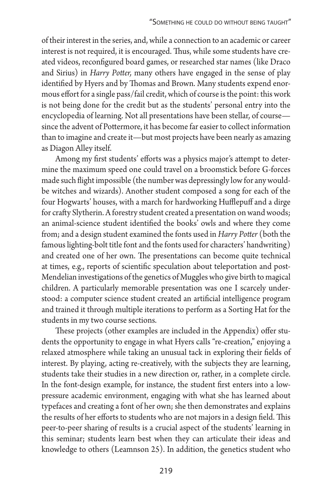of their interest in the series, and, while a connection to an academic or career interest is not required, it is encouraged. Thus, while some students have created videos, reconfigured board games, or researched star names (like Draco and Sirius) in *Harry Potter,* many others have engaged in the sense of play identified by Hyers and by Thomas and Brown. Many students expend enormous effort for a single pass/fail credit, which of course is the point: this work is not being done for the credit but as the students' personal entry into the encyclopedia of learning. Not all presentations have been stellar, of course since the advent of Pottermore, it has become far easier to collect information than to imagine and create it—but most projects have been nearly as amazing as Diagon Alley itself.

Among my first students' efforts was a physics major's attempt to determine the maximum speed one could travel on a broomstick before G-forces made such flight impossible (the number was depressingly low for any wouldbe witches and wizards). Another student composed a song for each of the four Hogwarts' houses, with a march for hardworking Hufflepuff and a dirge for crafty Slytherin. A forestry student created a presentation on wand woods; an animal-science student identified the books' owls and where they come from; and a design student examined the fonts used in *Harry Potter* (both the famous lighting-bolt title font and the fonts used for characters' handwriting) and created one of her own. The presentations can become quite technical at times, e.g., reports of scientific speculation about teleportation and post-Mendelian investigations of the genetics of Muggles who give birth to magical children. A particularly memorable presentation was one I scarcely understood: a computer science student created an artificial intelligence program and trained it through multiple iterations to perform as a Sorting Hat for the students in my two course sections.

These projects (other examples are included in the Appendix) offer students the opportunity to engage in what Hyers calls "re-creation," enjoying a relaxed atmosphere while taking an unusual tack in exploring their fields of interest. By playing, acting re-creatively, with the subjects they are learning, students take their studies in a new direction or, rather, in a complete circle. In the font-design example, for instance, the student first enters into a lowpressure academic environment, engaging with what she has learned about typefaces and creating a font of her own; she then demonstrates and explains the results of her efforts to students who are not majors in a design field. This peer-to-peer sharing of results is a crucial aspect of the students' learning in this seminar; students learn best when they can articulate their ideas and knowledge to others (Leamnson 25). In addition, the genetics student who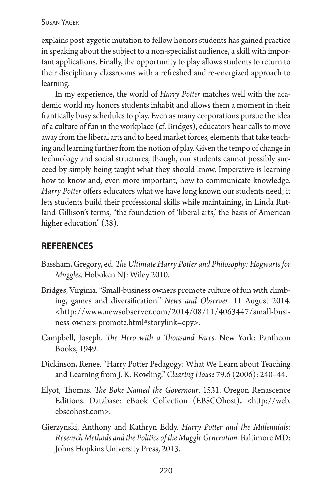explains post-zygotic mutation to fellow honors students has gained practice in speaking about the subject to a non-specialist audience, a skill with important applications. Finally, the opportunity to play allows students to return to their disciplinary classrooms with a refreshed and re-energized approach to learning.

In my experience, the world of *Harry Potter* matches well with the academic world my honors students inhabit and allows them a moment in their frantically busy schedules to play. Even as many corporations pursue the idea of a culture of fun in the workplace (cf. Bridges), educators hear calls to move away from the liberal arts and to heed market forces, elements that take teaching and learning further from the notion of play. Given the tempo of change in technology and social structures, though, our students cannot possibly succeed by simply being taught what they should know. Imperative is learning how to know and, even more important, how to communicate knowledge. *Harry Potter* offers educators what we have long known our students need; it lets students build their professional skills while maintaining, in Linda Rutland-Gillison's terms, "the foundation of 'liberal arts,' the basis of American higher education" (38).

## **references**

- Bassham, Gregory, ed. *The Ultimate Harry Potter and Philosophy: Hogwarts for Muggles.* Hoboken NJ: Wiley 2010.
- Bridges, Virginia. "Small-business owners promote culture of fun with climbing, games and diversification." *News and Observer*. 11 August 2014. <http://www.newsobserver.com/2014/08/11/4063447/small-business-owners-promote.html#storylink=cpy>.
- Campbell, Joseph. *The Hero with a Thousand Faces*. New York: Pantheon Books, 1949.
- Dickinson, Renee. "Harry Potter Pedagogy: What We Learn about Teaching and Learning from J. K. Rowling." *Clearing House* 79.6 (2006): 240–44.
- Elyot, Thomas. *The Boke Named the Governour*. 1531. Oregon Renascence Editions. Database: eBook Collection (EBSCOhost)**.** <http://web. ebscohost.com>.
- Gierzynski, Anthony and Kathryn Eddy. *Harry Potter and the Millennials: Research Methods and the Politics of the Muggle Generation.* Baltimore MD: Johns Hopkins University Press, 2013.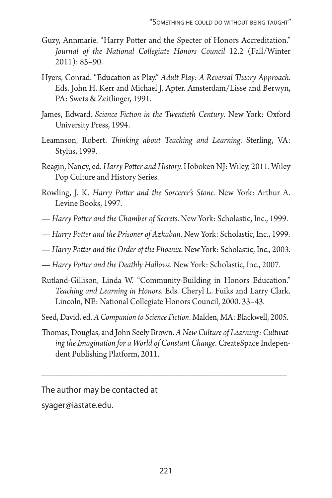- Guzy, Annmarie. "Harry Potter and the Specter of Honors Accreditation." *Journal of the National Collegiate Honors Council* 12.2 (Fall/Winter 2011): 85–90.
- Hyers, Conrad. "Education as Play." *Adult Play: A Reversal Theory Approach.* Eds. John H. Kerr and Michael J. Apter. Amsterdam/Lisse and Berwyn, PA: Swets & Zeitlinger, 1991.
- James, Edward. *Science Fiction in the Twentieth Century*. New York: Oxford University Press, 1994.
- Leamnson, Robert. *Thinking about Teaching and Learning*. Sterling, VA: Stylus, 1999.
- Reagin, Nancy, ed. *Harry Potter and History.* Hoboken NJ: Wiley, 2011. Wiley Pop Culture and History Series.
- Rowling, J. K. *Harry Potter and the Sorcerer's Stone.* New York: Arthur A. Levine Books, 1997.
- *Harry Potter and the Chamber of Secrets*. New York: Scholastic, Inc., 1999.
- *Harry Potter and the Prisoner of Azkaban*. New York: Scholastic, Inc., 1999.
- *Harry Potter and the Order of the Phoenix*. New York: Scholastic, Inc., 2003.
- *Harry Potter and the Deathly Hallows*. New York: Scholastic, Inc., 2007.
- Rutland-Gillison, Linda W. "Community-Building in Honors Education." *Teaching and Learning in Honors*. Eds. Cheryl L. Fuiks and Larry Clark. Lincoln, NE: National Collegiate Honors Council, 2000. 33–43.
- Seed, David, ed. *A Companion to Science Fiction*. Malden, MA: Blackwell, 2005.
- Thomas, Douglas, and John Seely Brown. *A New Culture of Learning: Cultivating the Imagination for a World of Constant Change*. CreateSpace Independent Publishing Platform, 2011.

\_\_\_\_\_\_\_\_\_\_\_\_\_\_\_\_\_\_\_\_\_\_\_\_\_\_\_\_\_\_\_\_\_\_\_\_\_\_\_\_\_\_\_\_\_\_\_\_\_\_\_\_\_\_\_\_

The author may be contacted at syager@iastate.edu.